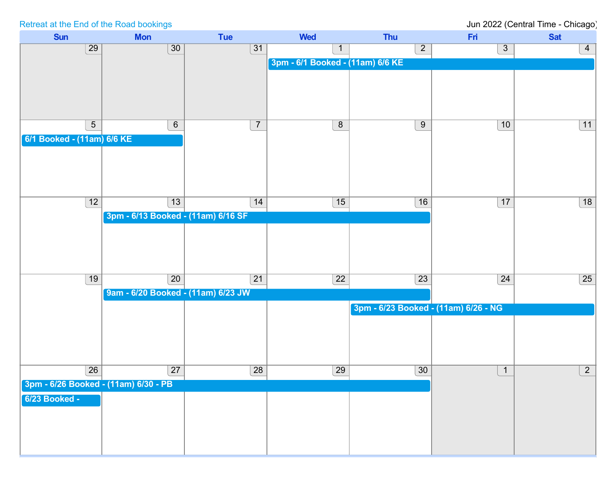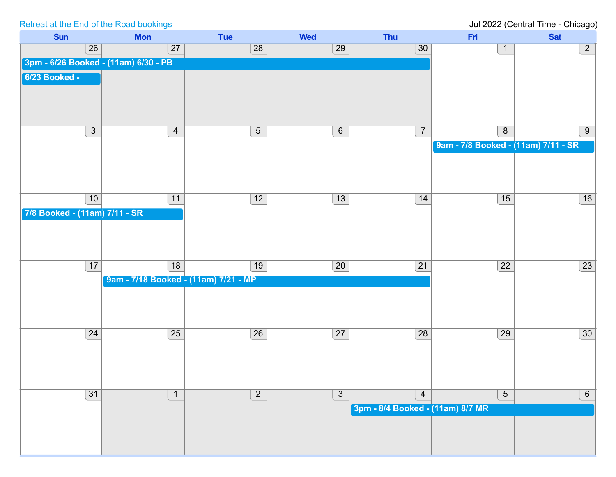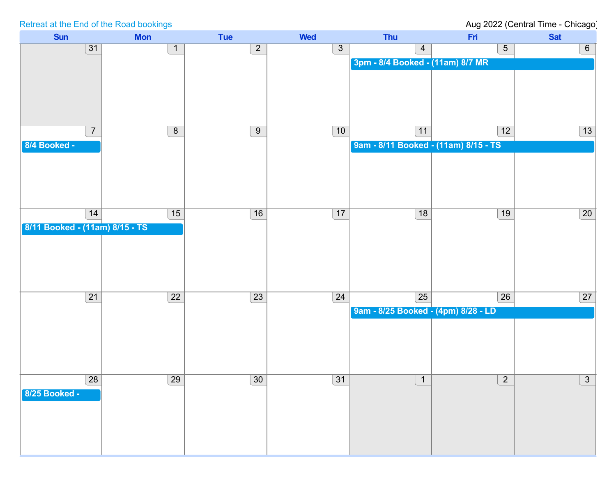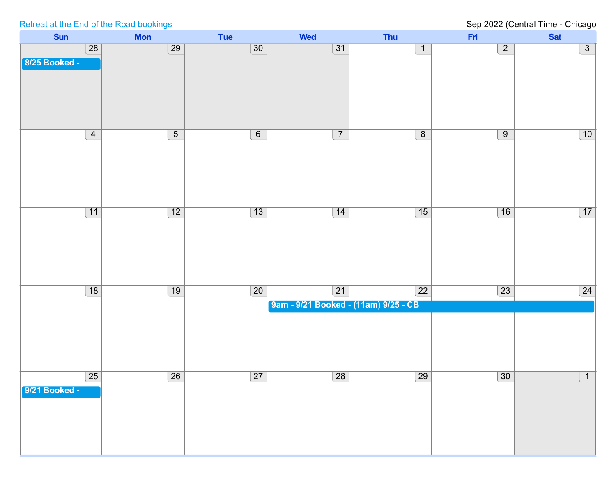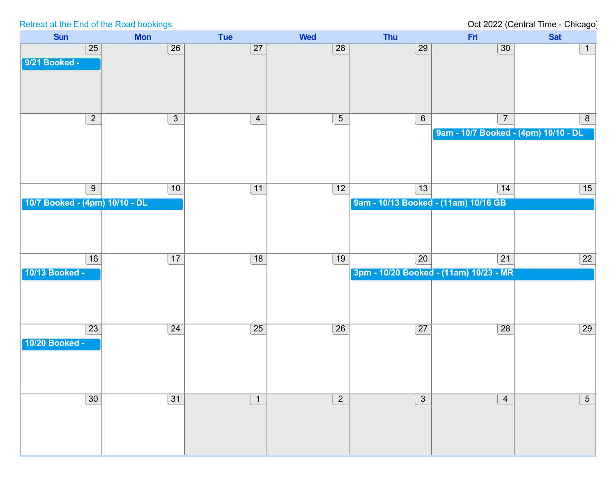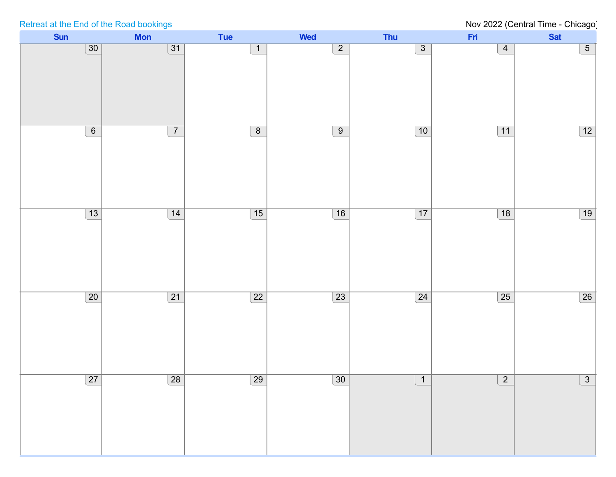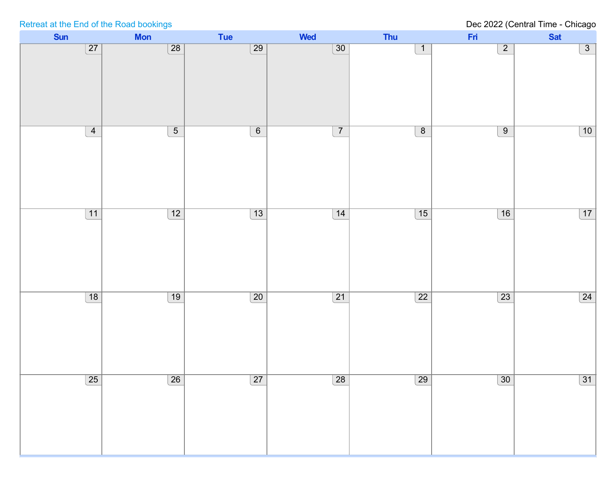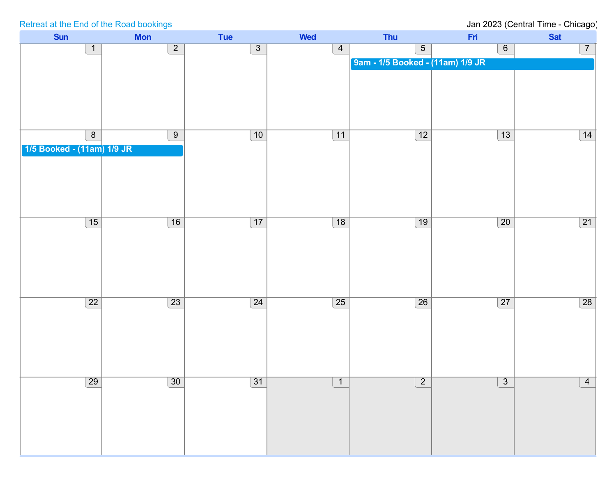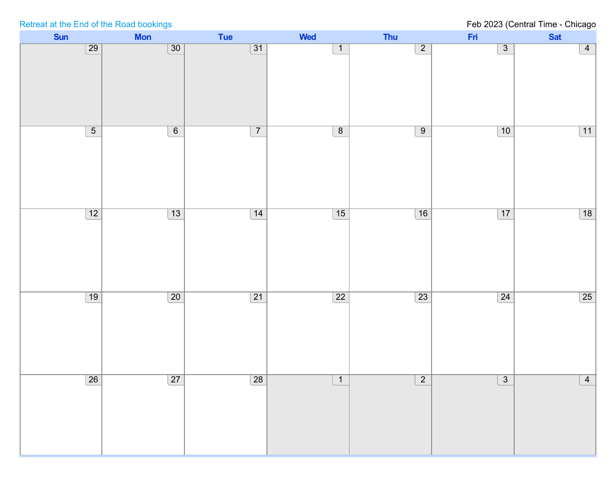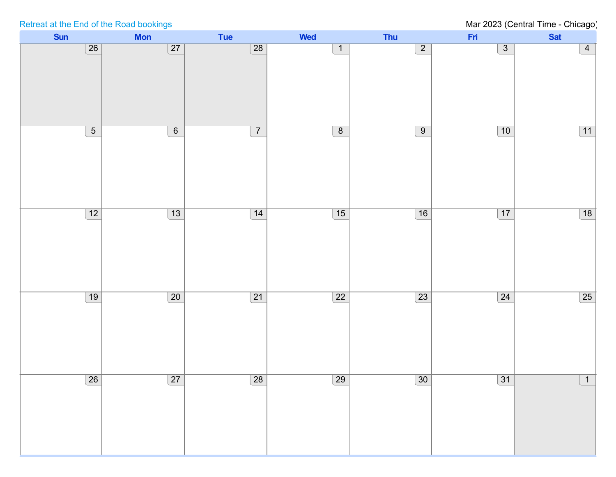